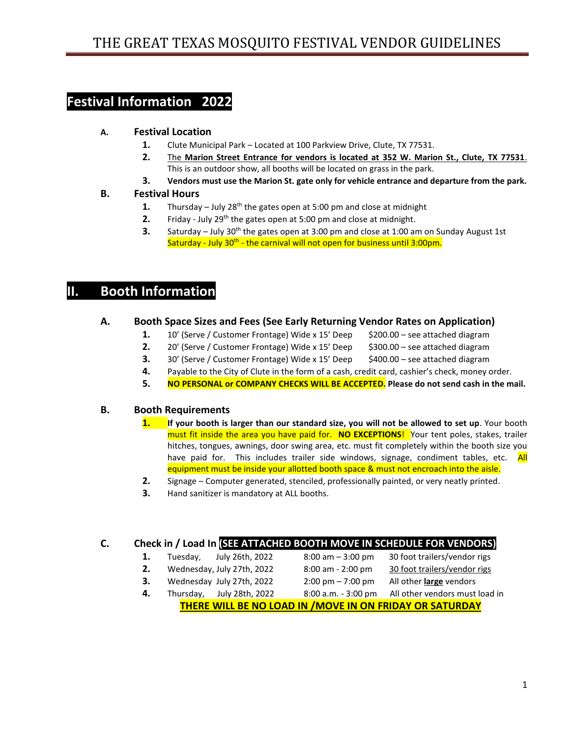# **Festival Information 2022**

### **A. Festival Location**

- **1.** Clute Municipal Park Located at 100 Parkview Drive, Clute, TX 77531.
- **2.** The **Marion Street Entrance for vendors is located at 352 W. Marion St., Clute, TX 77531**. This is an outdoor show, all booths will be located on grass in the park.
- **3. Vendors must use the Marion St. gate only for vehicle entrance and departure from the park.**

### **B. Festival Hours**

- **1.** Thursday July 28<sup>th</sup> the gates open at 5:00 pm and close at midnight
- **2.** Friday July 29<sup>th</sup> the gates open at 5:00 pm and close at midnight.
- **3.** Saturday July 30<sup>th</sup> the gates open at 3:00 pm and close at 1:00 am on Sunday August 1st Saturday - July 30<sup>th</sup> - the carnival will not open for business until 3:00pm.

## **II. Booth Information**

### **A. Booth Space Sizes and Fees (See Early Returning Vendor Rates on Application)**

- **1.** 10' (Serve / Customer Frontage) Wide x 15' Deep \$200.00 see attached diagram
- **2.** 20' (Serve / Customer Frontage) Wide x 15' Deep \$300.00 see attached diagram
- **3.** 30' (Serve / Customer Frontage) Wide x 15' Deep \$400.00 see attached diagram
- **4.** Payable to the City of Clute in the form of a cash, credit card, cashier's check, money order.
- **5. NO PERSONAL or COMPANY CHECKS WILL BE ACCEPTED. Please do not send cash in the mail.**

### **B. Booth Requirements**

- **1. If your booth is larger than our standard size, you will not be allowed to set up**. Your booth must fit inside the area you have paid for. **NO EXCEPTIONS**! Your tent poles, stakes, trailer hitches, tongues, awnings, door swing area, etc. must fit completely within the booth size you have paid for. This includes trailer side windows, signage, condiment tables, etc. All equipment must be inside your allotted booth space & must not encroach into the aisle.
- **2.** Signage Computer generated, stenciled, professionally painted, or very neatly printed.
- **3.** Hand sanitizer is mandatory at ALL booths.

### **C. Check in / Load In (SEE ATTACHED BOOTH MOVE IN SCHEDULE FOR VENDORS)**

- **1.** Tuesday, July 26th, 2022 8:00 am 3:00 pm 30 foot trailers/vendor rigs
- **2.** Wednesday, July 27th, 2022 8:00 am 2:00 pm 30 foot trailers/vendor rigs
	-
- **3.** Wednesday July 27th, 2022 2:00 pm 7:00 pm All other **large** vendors
- **4.** Thursday, July 28th, 2022 8:00 a.m. 3:00 pm All other vendors must load in
	- **THERE WILL BE NO LOAD IN /MOVE IN ON FRIDAY OR SATURDAY**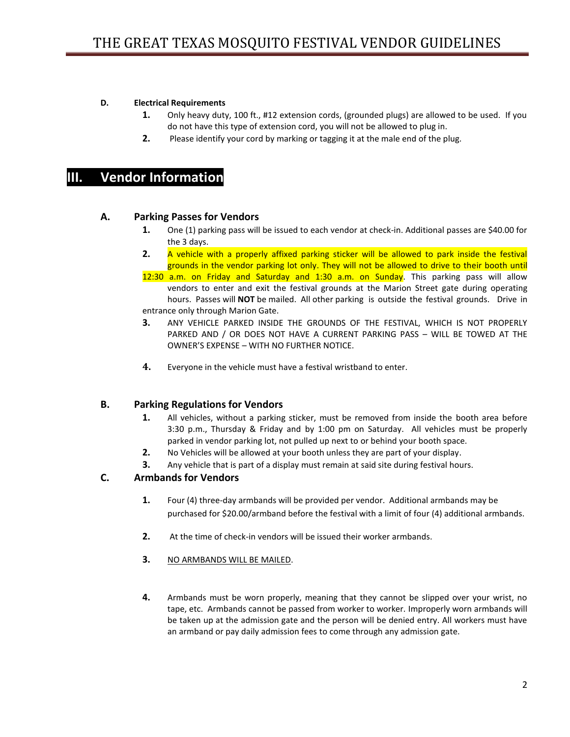#### **D. Electrical Requirements**

- **1.** Only heavy duty, 100 ft., #12 extension cords, (grounded plugs) are allowed to be used. If you do not have this type of extension cord, you will not be allowed to plug in.
- **2.** Please identify your cord by marking or tagging it at the male end of the plug.

## **III. Vendor Information**

#### **A. Parking Passes for Vendors**

- **1.** One (1) parking pass will be issued to each vendor at check-in. Additional passes are \$40.00 for the 3 days.
- **2.** A vehicle with a properly affixed parking sticker will be allowed to park inside the festival grounds in the vendor parking lot only. They will not be allowed to drive to their booth until

12:30 a.m. on Friday and Saturday and 1:30 a.m. on Sunday. This parking pass will allow vendors to enter and exit the festival grounds at the Marion Street gate during operating hours. Passes will **NOT** be mailed. All other parking is outside the festival grounds. Drive in entrance only through Marion Gate.

- **3.** ANY VEHICLE PARKED INSIDE THE GROUNDS OF THE FESTIVAL, WHICH IS NOT PROPERLY PARKED AND / OR DOES NOT HAVE A CURRENT PARKING PASS – WILL BE TOWED AT THE OWNER'S EXPENSE – WITH NO FURTHER NOTICE.
- **4.** Everyone in the vehicle must have a festival wristband to enter.

#### **B. Parking Regulations for Vendors**

- **1.** All vehicles, without a parking sticker, must be removed from inside the booth area before 3:30 p.m., Thursday & Friday and by 1:00 pm on Saturday. All vehicles must be properly parked in vendor parking lot, not pulled up next to or behind your booth space.
- **2.** No Vehicles will be allowed at your booth unless they are part of your display.
- **3.** Any vehicle that is part of a display must remain at said site during festival hours.

#### **C. Armbands for Vendors**

- **1.** Four (4) three-day armbands will be provided per vendor. Additional armbands may be purchased for \$20.00/armband before the festival with a limit of four (4) additional armbands.
- **2.** At the time of check-in vendors will be issued their worker armbands.
- **3.** NO ARMBANDS WILL BE MAILED.
- **4.** Armbands must be worn properly, meaning that they cannot be slipped over your wrist, no tape, etc. Armbands cannot be passed from worker to worker. Improperly worn armbands will be taken up at the admission gate and the person will be denied entry. All workers must have an armband or pay daily admission fees to come through any admission gate.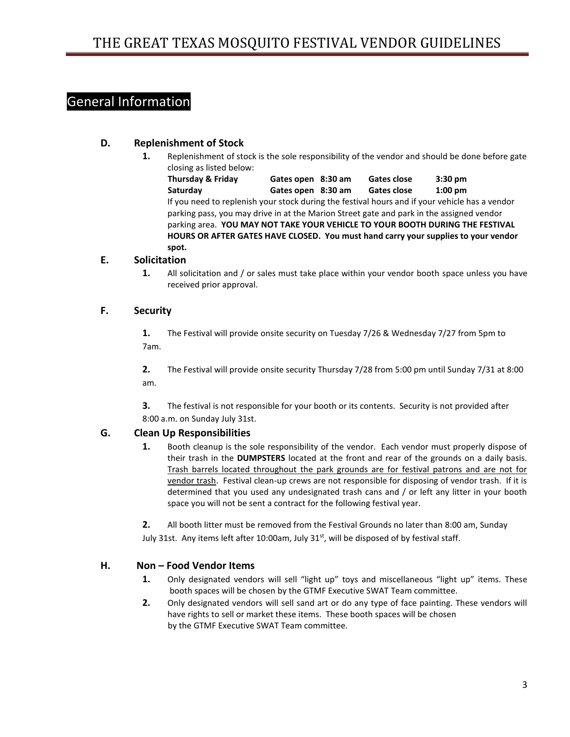# General Information

### **D. Replenishment of Stock**

**1.** Replenishment of stock is the sole responsibility of the vendor and should be done before gate closing as listed below:

 **Thursday & Friday Gates open 8:30 am Gates close 3:30 pm Saturday Gates open 8:30 am Gates close 1:00 pm** If you need to replenish your stock during the festival hours and if your vehicle has a vendor parking pass, you may drive in at the Marion Street gate and park in the assigned vendor parking area. **YOU MAY NOT TAKE YOUR VEHICLE TO YOUR BOOTH DURING THE FESTIVAL HOURS OR AFTER GATES HAVE CLOSED. You must hand carry your supplies to your vendor spot.** 

### **E. Solicitation**

**1.** All solicitation and / or sales must take place within your vendor booth space unless you have received prior approval.

#### **F. Security**

**1.** The Festival will provide onsite security on Tuesday 7/26 & Wednesday 7/27 from 5pm to 7am.

**2.** The Festival will provide onsite security Thursday 7/28 from 5:00 pm until Sunday 7/31 at 8:00 am.

**3.** The festival is not responsible for your booth or its contents. Security is not provided after 8:00 a.m. on Sunday July 31st.

### **G. Clean Up Responsibilities**

**1.** Booth cleanup is the sole responsibility of the vendor. Each vendor must properly dispose of their trash in the **DUMPSTERS** located at the front and rear of the grounds on a daily basis. Trash barrels located throughout the park grounds are for festival patrons and are not for vendor trash. Festival clean-up crews are not responsible for disposing of vendor trash. If it is determined that you used any undesignated trash cans and / or left any litter in your booth space you will not be sent a contract for the following festival year.

**2.** All booth litter must be removed from the Festival Grounds no later than 8:00 am, Sunday July 31st. Any items left after 10:00am, July 31<sup>st</sup>, will be disposed of by festival staff.

### **H. Non – Food Vendor Items**

- **1.** Only designated vendors will sell "light up" toys and miscellaneous "light up" items. These booth spaces will be chosen by the GTMF Executive SWAT Team committee.
- **2.** Only designated vendors will sell sand art or do any type of face painting. These vendors will have rights to sell or market these items. These booth spaces will be chosen by the GTMF Executive SWAT Team committee.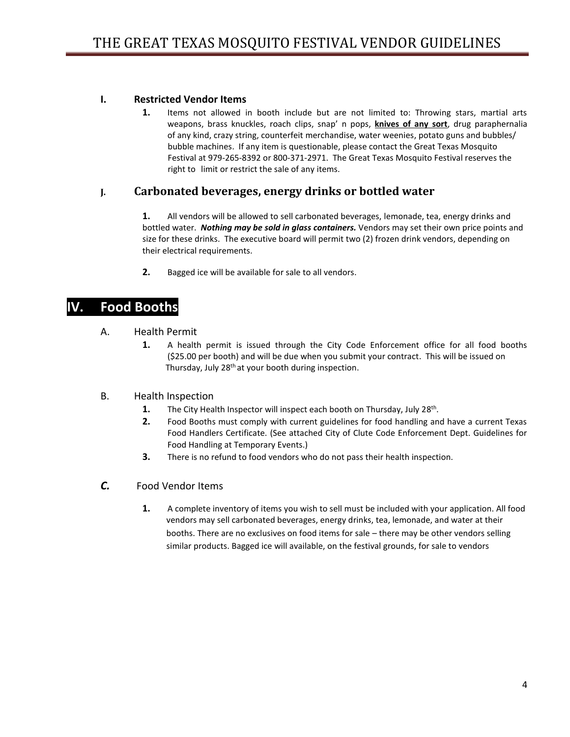### **I. Restricted Vendor Items**

**1.** Items not allowed in booth include but are not limited to: Throwing stars, martial arts weapons, brass knuckles, roach clips, snap' n pops, **knives of any sort**, drug paraphernalia of any kind, crazy string, counterfeit merchandise, water weenies, potato guns and bubbles/ bubble machines. If any item is questionable, please contact the Great Texas Mosquito Festival at 979-265-8392 or 800-371-2971. The Great Texas Mosquito Festival reserves the right to limit or restrict the sale of any items.

### **J. Carbonated beverages, energy drinks or bottled water**

**1.** All vendors will be allowed to sell carbonated beverages, lemonade, tea, energy drinks and bottled water. *Nothing may be sold in glass containers.* Vendors may set their own price points and size for these drinks. The executive board will permit two (2) frozen drink vendors, depending on their electrical requirements.

**2.** Bagged ice will be available for sale to all vendors.

## **IV. Food Booths**

- A. Health Permit
	- **1.** A health permit is issued through the City Code Enforcement office for all food booths (\$25.00 per booth) and will be due when you submit your contract. This will be issued on Thursday, July 28<sup>th</sup> at your booth during inspection.
- B. Health Inspection
	- **1.** The City Health Inspector will inspect each booth on Thursday, July 28<sup>th</sup>.
	- **2.** Food Booths must comply with current guidelines for food handling and have a current Texas Food Handlers Certificate. (See attached City of Clute Code Enforcement Dept. Guidelines for Food Handling at Temporary Events.)
	- **3.** There is no refund to food vendors who do not pass their health inspection.
- *C.* Food Vendor Items
	- **1.** A complete inventory of items you wish to sell must be included with your application. All food vendors may sell carbonated beverages, energy drinks, tea, lemonade, and water at their booths. There are no exclusives on food items for sale – there may be other vendors selling similar products. Bagged ice will available, on the festival grounds, for sale to vendors